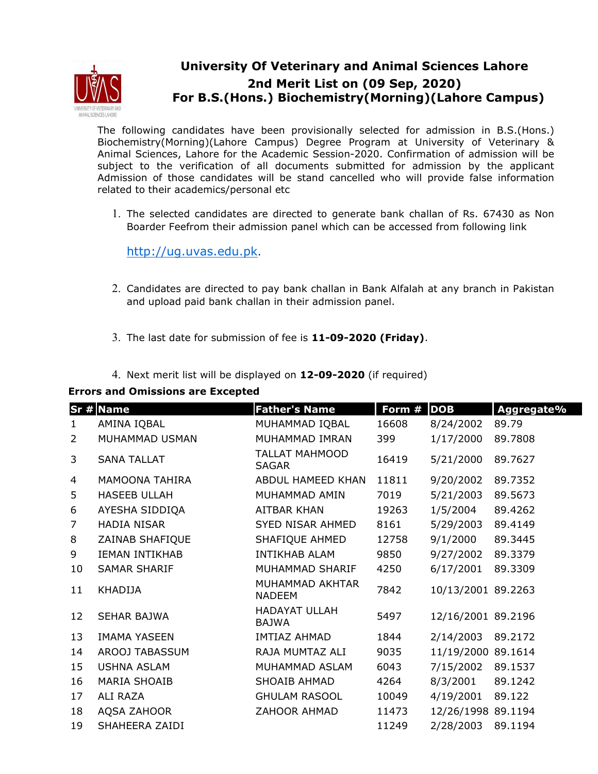

## **University Of Veterinary and Animal Sciences Lahore 2nd Merit List on (09 Sep, 2020) For B.S.(Hons.) Biochemistry(Morning)(Lahore Campus)**

The following candidates have been provisionally selected for admission in B.S.(Hons.) Biochemistry(Morning)(Lahore Campus) Degree Program at University of Veterinary & Animal Sciences, Lahore for the Academic Session-2020. Confirmation of admission will be subject to the verification of all documents submitted for admission by the applicant Admission of those candidates will be stand cancelled who will provide false information related to their academics/personal etc

1. The selected candidates are directed to generate bank challan of Rs. 67430 as Non Boarder Feefrom their admission panel which can be accessed from following link

http://ug.uvas.edu.pk.

- 2. Candidates are directed to pay bank challan in Bank Alfalah at any branch in Pakistan and upload paid bank challan in their admission panel.
- 3. The last date for submission of fee is **11-09-2020 (Friday)**.
- 4. Next merit list will be displayed on **12-09-2020** (if required)

## **Errors and Omissions are Excepted**

|                | Sr # Name             | <b>Father's Name</b>                  | Form # | <b>DOB</b>         | Aggregate% |
|----------------|-----------------------|---------------------------------------|--------|--------------------|------------|
| $\mathbf{1}$   | AMINA IQBAL           | MUHAMMAD IQBAL                        | 16608  | 8/24/2002          | 89.79      |
| $\overline{2}$ | MUHAMMAD USMAN        | MUHAMMAD IMRAN                        | 399    | 1/17/2000          | 89.7808    |
| 3              | <b>SANA TALLAT</b>    | <b>TALLAT MAHMOOD</b><br><b>SAGAR</b> | 16419  | 5/21/2000          | 89.7627    |
| 4              | <b>MAMOONA TAHIRA</b> | ABDUL HAMEED KHAN                     | 11811  | 9/20/2002          | 89.7352    |
| 5              | <b>HASEEB ULLAH</b>   | MUHAMMAD AMIN                         | 7019   | 5/21/2003          | 89.5673    |
| 6              | AYESHA SIDDIQA        | AITBAR KHAN                           | 19263  | 1/5/2004           | 89.4262    |
| $\overline{7}$ | <b>HADIA NISAR</b>    | SYED NISAR AHMED                      | 8161   | 5/29/2003          | 89.4149    |
| 8              | ZAINAB SHAFIQUE       | SHAFIQUE AHMED                        | 12758  | 9/1/2000           | 89.3445    |
| 9              | <b>IEMAN INTIKHAB</b> | <b>INTIKHAB ALAM</b>                  | 9850   | 9/27/2002          | 89.3379    |
| 10             | <b>SAMAR SHARIF</b>   | MUHAMMAD SHARIF                       | 4250   | 6/17/2001          | 89.3309    |
| 11             | <b>KHADIJA</b>        | MUHAMMAD AKHTAR<br><b>NADEEM</b>      | 7842   | 10/13/2001 89.2263 |            |
| 12             | <b>SEHAR BAJWA</b>    | <b>HADAYAT ULLAH</b><br><b>BAJWA</b>  | 5497   | 12/16/2001 89.2196 |            |
| 13             | <b>IMAMA YASEEN</b>   | <b>IMTIAZ AHMAD</b>                   | 1844   | 2/14/2003          | 89.2172    |
| 14             | AROOJ TABASSUM        | RAJA MUMTAZ ALI                       | 9035   | 11/19/2000 89.1614 |            |
| 15             | <b>USHNA ASLAM</b>    | MUHAMMAD ASLAM                        | 6043   | 7/15/2002          | 89.1537    |
| 16             | <b>MARIA SHOAIB</b>   | SHOAIB AHMAD                          | 4264   | 8/3/2001           | 89.1242    |
| 17             | ALI RAZA              | <b>GHULAM RASOOL</b>                  | 10049  | 4/19/2001          | 89.122     |
| 18             | AQSA ZAHOOR           | ZAHOOR AHMAD                          | 11473  | 12/26/1998 89.1194 |            |
| 19             | SHAHEERA ZAIDI        |                                       | 11249  | 2/28/2003          | 89.1194    |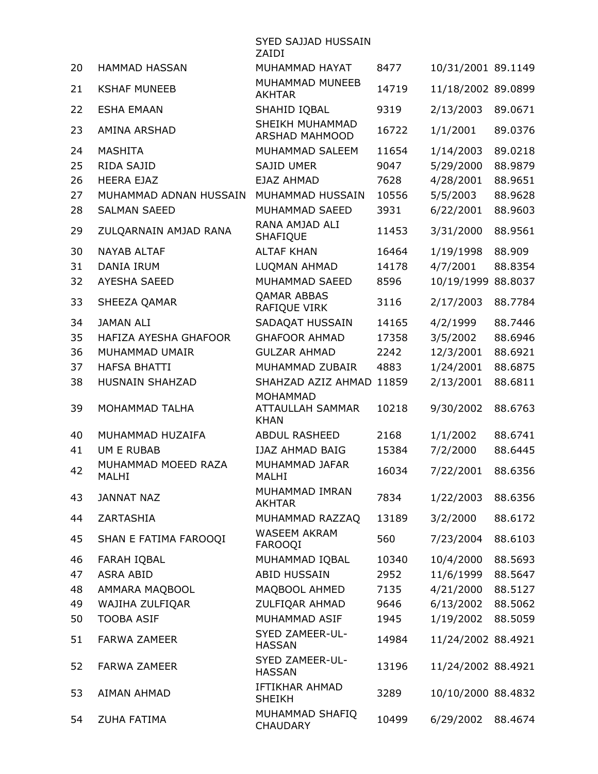|                |                                                   | SYED SAJJAD HUSSAIN<br>ZAIDI                       |                       |                                     |                               |
|----------------|---------------------------------------------------|----------------------------------------------------|-----------------------|-------------------------------------|-------------------------------|
| 20             | <b>HAMMAD HASSAN</b>                              | MUHAMMAD HAYAT                                     | 8477                  | 10/31/2001 89.1149                  |                               |
| 21             | <b>KSHAF MUNEEB</b>                               | MUHAMMAD MUNEEB<br><b>AKHTAR</b>                   | 14719                 | 11/18/2002 89.0899                  |                               |
| 22             | <b>ESHA EMAAN</b>                                 | SHAHID IQBAL                                       | 9319                  | 2/13/2003                           | 89.0671                       |
| 23             | AMINA ARSHAD                                      | SHEIKH MUHAMMAD<br>ARSHAD MAHMOOD                  | 16722                 | 1/1/2001                            | 89.0376                       |
| 24<br>25<br>26 | <b>MASHITA</b><br>RIDA SAJID<br><b>HEERA EJAZ</b> | MUHAMMAD SALEEM<br>SAJID UMER<br>EJAZ AHMAD        | 11654<br>9047<br>7628 | 1/14/2003<br>5/29/2000<br>4/28/2001 | 89.0218<br>88.9879<br>88.9651 |
| 27<br>28       | MUHAMMAD ADNAN HUSSAIN<br><b>SALMAN SAEED</b>     | MUHAMMAD HUSSAIN<br>MUHAMMAD SAEED                 | 10556<br>3931         | 5/5/2003<br>6/22/2001               | 88.9628<br>88.9603            |
| 29             | ZULQARNAIN AMJAD RANA                             | RANA AMJAD ALI<br>SHAFIQUE                         | 11453                 | 3/31/2000                           | 88.9561                       |
| 30<br>31       | <b>NAYAB ALTAF</b><br>DANIA IRUM                  | <b>ALTAF KHAN</b><br>LUQMAN AHMAD                  | 16464<br>14178        | 1/19/1998<br>4/7/2001               | 88.909<br>88.8354             |
| 32             | <b>AYESHA SAEED</b>                               | MUHAMMAD SAEED                                     | 8596                  | 10/19/1999                          | 88.8037                       |
| 33             | SHEEZA QAMAR                                      | <b>QAMAR ABBAS</b><br>RAFIQUE VIRK                 | 3116                  | 2/17/2003                           | 88.7784                       |
| 34             | <b>JAMAN ALI</b>                                  | SADAQAT HUSSAIN                                    | 14165                 | 4/2/1999                            | 88.7446                       |
| 35             | HAFIZA AYESHA GHAFOOR                             | <b>GHAFOOR AHMAD</b>                               | 17358                 | 3/5/2002                            | 88.6946                       |
| 36             | MUHAMMAD UMAIR                                    | <b>GULZAR AHMAD</b>                                | 2242                  | 12/3/2001                           | 88.6921                       |
| 37             | <b>HAFSA BHATTI</b>                               | MUHAMMAD ZUBAIR                                    | 4883                  | 1/24/2001                           | 88.6875                       |
| 38             | HUSNAIN SHAHZAD                                   | SHAHZAD AZIZ AHMAD 11859                           |                       | 2/13/2001                           | 88.6811                       |
| 39             | MOHAMMAD TALHA                                    | <b>MOHAMMAD</b><br>ATTAULLAH SAMMAR<br><b>KHAN</b> | 10218                 | 9/30/2002                           | 88.6763                       |
| 40             | MUHAMMAD HUZAIFA                                  | <b>ABDUL RASHEED</b>                               | 2168                  | 1/1/2002                            | 88.6741                       |
| 41             | <b>UM E RUBAB</b>                                 | <b>IJAZ AHMAD BAIG</b>                             | 15384                 | 7/2/2000                            | 88.6445                       |
| 42             | MUHAMMAD MOEED RAZA<br>MALHI                      | MUHAMMAD JAFAR<br>MALHI                            | 16034                 | 7/22/2001 88.6356                   |                               |
| 43             | <b>JANNAT NAZ</b>                                 | MUHAMMAD IMRAN<br><b>AKHTAR</b>                    | 7834                  | 1/22/2003                           | 88.6356                       |
| 44             | ZARTASHIA                                         | MUHAMMAD RAZZAQ                                    | 13189                 | 3/2/2000                            | 88.6172                       |
| 45             | SHAN E FATIMA FAROOQI                             | <b>WASEEM AKRAM</b><br>FAROOQI                     | 560                   | 7/23/2004                           | 88.6103                       |
| 46             | FARAH IQBAL                                       | MUHAMMAD IQBAL                                     | 10340                 | 10/4/2000                           | 88.5693                       |
| 47             | <b>ASRA ABID</b>                                  | <b>ABID HUSSAIN</b>                                | 2952                  | 11/6/1999                           | 88.5647                       |
| 48             | AMMARA MAQBOOL                                    | MAQBOOL AHMED                                      | 7135                  | 4/21/2000                           | 88.5127                       |
| 49             | WAJIHA ZULFIQAR                                   | ZULFIQAR AHMAD                                     | 9646                  | 6/13/2002                           | 88.5062                       |
| 50             | <b>TOOBA ASIF</b>                                 | MUHAMMAD ASIF                                      | 1945                  | 1/19/2002                           | 88.5059                       |
| 51             | <b>FARWA ZAMEER</b>                               | SYED ZAMEER-UL-<br><b>HASSAN</b>                   | 14984                 | 11/24/2002 88.4921                  |                               |
| 52             | <b>FARWA ZAMEER</b>                               | SYED ZAMEER-UL-<br><b>HASSAN</b>                   | 13196                 | 11/24/2002 88.4921                  |                               |
| 53             | <b>AIMAN AHMAD</b>                                | IFTIKHAR AHMAD<br><b>SHEIKH</b>                    | 3289                  | 10/10/2000 88.4832                  |                               |
| 54             | <b>ZUHA FATIMA</b>                                | MUHAMMAD SHAFIQ<br>CHAUDARY                        | 10499                 | 6/29/2002                           | 88.4674                       |